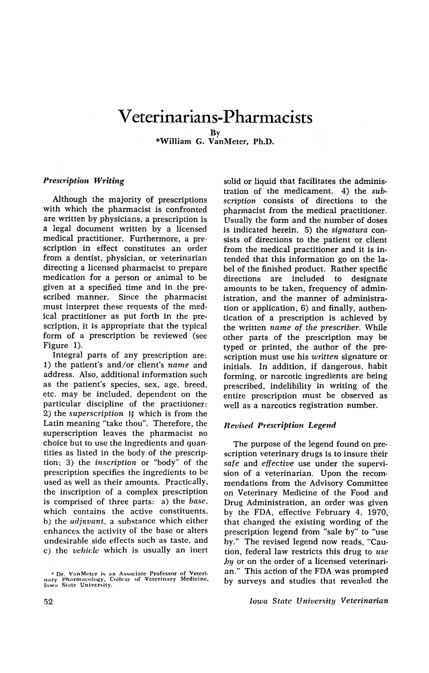## **V eterinarians-Pharmacists**

\*William G. VanMeter, Ph.D.

## *Prescription Writing*

Although the majority of prescriptions with which the pharmacist is confronted are written by physicians, a prescription is a legal document written by a licensed medical practitioner. Furthermore, a prescription in effect constitutes an order from a dentist, physician, or veterinarian directing a licensed pharmacist to prepare medication for a person or animal to be given at a specified time and in the prescribed manner. Since the pharmacist must interpret these requests of the medical practitioner as put forth in the prescription, it is. appropriate that the typical form of a prescription be reviewed (see Figure 1).

Integral parts of any prescription are: 1) the patient's and/or client's *name* and address. Also, additional information such as the patient's species, sex, age, breed, etc. may· be included, dependent on the particular· discipline of the practitioner: 2) the *superscription*  $\mathbb{R}$  which is from the Latin meaning "take thou". Therefore, the superscription leaves the pharmacist no choice but to use the ingredients and quantities as listed in the body of the prescription; 3) the *inscription* or "body" of the prescription specifies the ingredients to be used as well as their amounts. Practically, the inscription of a complex prescription is comprised of three parts: a) the *base,*  which contains the active constituents, h) the *adjuvant,* a suhstance which either enhances the activity of the base or alters undesirahle side effects such as taste, and c) the *vehicle* which is usually an inert

solid or liquid that facilitates the administration of the medicament. 4) the *subscription* consists of directions to the pharmacist from the medical practitioner. Usually the form and the number of doses is indicated herein. 5) the *signatura* consists of directions to the patient or client from the medical practitioner and it is intended that this information go on the label of the finished product. Rather specific directions are included to designate amounts to be taken, frequency of administration, and the manner of administration or application; 6) and finally, authentication of a prescription is achieved by the written *name* of *the prescriber.* While other parts of the prescription may be typed or printed, the author of the prescription must use his *written* signature or initials. In addition, if dangerous, habit forming, or narcotic ingredients are being prescribed, indelibility in writing of the entire prescription must be observed as well as a narcotics registration number.

## *ller.Jised Prescription Legend*

The purpose of the legend found on prescription veterinary drugs is to insure their *safe* and *effective* use under the supervision of a veterinarian. Upon the recommendations from the Advisory Committee on Veterinary Medicine of the Food and Drug Administration, an order was given by the FDA, effective February 4, 1970, that changed the existing wording of the prescription legend from "sale by" to "use by." The revised legend now reads, "Caution, federal law restricts this drug to *use*  by or on the order of a licensed veterinarian." This action of the FDA was prompted by surveys and studies that revealed the

By

<sup>&</sup>lt;sup>\*</sup> Dr. VanMeter is an Associate Professor of Veteri-<br>nary Pharmacology, College of Veterinary Medicine,<br>Jowa State University.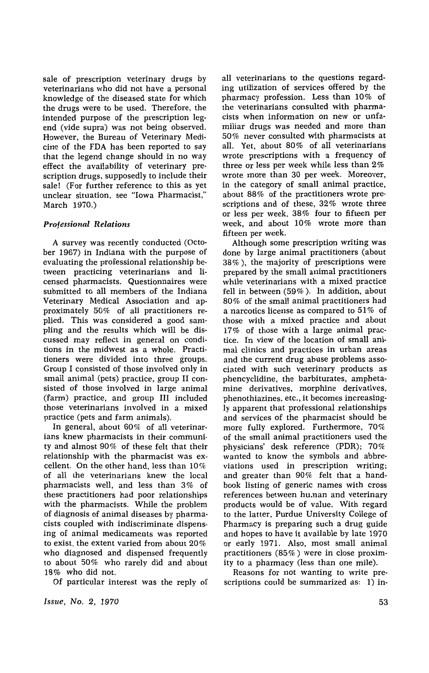sale of prescription veterinary drugs by veterinarians who did not have a personal knowledge of the diseased state for which the drugs were to be used. Therefore, the intended purpose of the prescription legend (vide supra) was not being observed. However, the Bureau of Veterinary Medicine of the FDA has been reported to say that the legend change should in no way effect the availability of veterinary prescription drugs, supposedly to include their sale! (For further reference to this as yet unclear situation, see "Iowa Pharmacist," March 1970.)

## *Professional· Relations*

A survey was recently conducted (October 1967) in Indiana with the purpose of evaluating the professional relationship between practicing veterinarians and licensed pharmacists. Questionnaires were submitted to all members of the Indiana Veterinary Medical Association and approximately 50% of all practitioners replied. This was considered a good sampling and the results which will be discussed may reflect in general on conditions in the midwest as a whole. Practitioners were divided into three groups. Group I consisted of those involved only in small animal (pets) practice, group II consisted of those involved in large animal (farm) practice, and group III included those veterinarians involved in a mixed practice (pets and farm animals).

In general, about 60% of all veterinarians knew pharmacists in their community and almost 90% of these felt that their relationship with the pharmacist was excellent. On the other hand, less than 10% of all the veterinarians knew the local pharmacists well, and less than 3% of these practitioners had poor relationships with the pharmacists. While the problem of diagnosis of animal diseases by pharmacists coupled with indiscriminate dispensing of animal medicaments was reported to exist, the extent varied from about 20% who diagnosed and dispensed frequently to about 50% who rarely did and about 18% who did not.

Of particular interest was the reply of

*Issue, No.2, 1970* 

all veterinarians to the questions regarding utilization of services offered by the pharmacy profession. Less than 10% of the veterinarians consulted with pharmacists when information on new or unfamiliar drugs was needed and more than 50% never consulted with pharmacists at all. Yet, about 80% of all veterinarians wrote prescriptions with a frequency of three or less per week while less than 2% wrote more than 30 per week. Moreover, in the category of small animal practice, about 88% of the practitioners wrote prescriptions and of these,  $32\%$  wrote three or less per week, 38% four to fifteen per week, and about 10% wrote more than fifteen per week.

Although some prescription writing was done by large animal practitioners (about 38%), the majority of prescriptions were prepared by the small animal practitioners while veterinarians with a mixed practice fell in between (59%). In addition, about 80% of the small animal practitioners had a narcotics license as compared to 51% of those with a mixed practice and about 17% of those with a large animal practice. In view of the location of small animal clinics and practices in urban areas and the current drug abuse problems associated with such veterinary products as phencyclidine, the barbiturates, amphetamine derivatives, morphine derivatives, phenothiazines, etc., it becomes increasingly apparent that professional relationships and services of the pharmacist should be more fully explored. Furthermore, 70% of the small animal practitioners used the physicians' desk reference (PDR); 70% wanted to know the symbols and abbreviations used in prescription writing; and greater than 90% felt that a handbook listing of generic names with cross references between hu.nan and veterinary products would be of value. With regard to the latter, Purdue University College of Pharmacy is preparing such a drug guide and hopes to have it available by late 1970 or early 1971. Also, most small animal practitioners (85%) were in close proximity to a pharmacy (less than one mile).

Reasons for not wanting to write prescriptions could be summarized as: 1) in